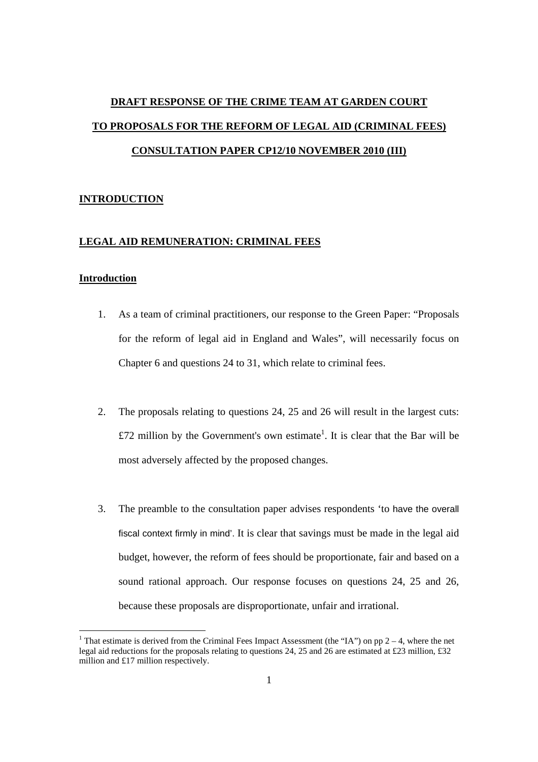# **DRAFT RESPONSE OF THE CRIME TEAM AT GARDEN COURT TO PROPOSALS FOR THE REFORM OF LEGAL AID (CRIMINAL FEES) CONSULTATION PAPER CP12/10 NOVEMBER 2010 (III)**

# **INTRODUCTION**

#### **LEGAL AID REMUNERATION: CRIMINAL FEES**

# **Introduction**

- 1. As a team of criminal practitioners, our response to the Green Paper: "Proposals for the reform of legal aid in England and Wales", will necessarily focus on Chapter 6 and questions 24 to 31, which relate to criminal fees.
- 2. The proposals relating to questions 24, 25 and 26 will result in the largest cuts: £72 million by the Government's own estimate<sup>1</sup>. It is clear that the Bar will be most adversely affected by the proposed changes.
- 3. The preamble to the consultation paper advises respondents 'to have the overall fiscal context firmly in mind'. It is clear that savings must be made in the legal aid budget, however, the reform of fees should be proportionate, fair and based on a sound rational approach. Our response focuses on questions 24, 25 and 26, because these proposals are disproportionate, unfair and irrational.

<sup>&</sup>lt;sup>1</sup> That estimate is derived from the Criminal Fees Impact Assessment (the "IA") on pp  $2 - 4$ , where the net legal aid reductions for the proposals relating to questions 24, 25 and 26 are estimated at £23 million, £32 million and £17 million respectively.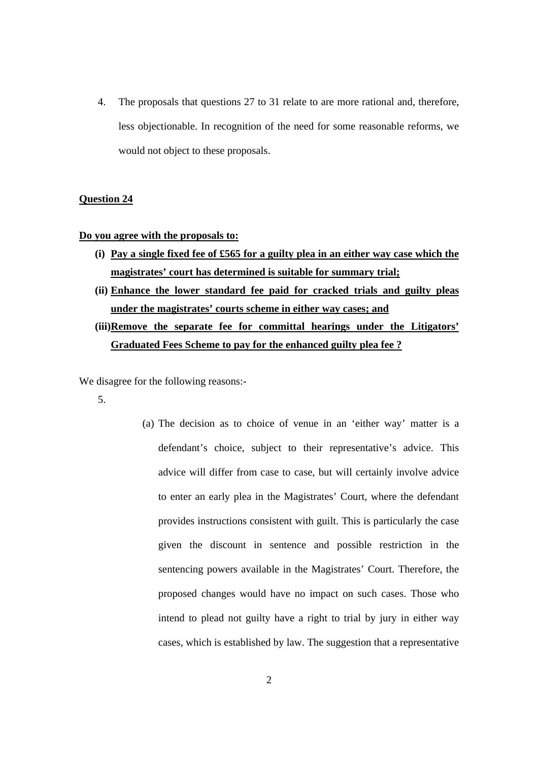4. The proposals that questions 27 to 31 relate to are more rational and, therefore, less objectionable. In recognition of the need for some reasonable reforms, we would not object to these proposals.

## **Question 24**

**Do you agree with the proposals to:**

- **(i) Pay a single fixed fee of £565 for a guilty plea in an either way case which the magistrates' court has determined is suitable for summary trial;**
- **(ii) Enhance the lower standard fee paid for cracked trials and guilty pleas under the magistrates' courts scheme in either way cases; and**
- **(iii)Remove the separate fee for committal hearings under the Litigators' Graduated Fees Scheme to pay for the enhanced guilty plea fee ?**

We disagree for the following reasons:-

- 5.
- (a) The decision as to choice of venue in an 'either way' matter is a defendant's choice, subject to their representative's advice. This advice will differ from case to case, but will certainly involve advice to enter an early plea in the Magistrates' Court, where the defendant provides instructions consistent with guilt. This is particularly the case given the discount in sentence and possible restriction in the sentencing powers available in the Magistrates' Court. Therefore, the proposed changes would have no impact on such cases. Those who intend to plead not guilty have a right to trial by jury in either way cases, which is established by law. The suggestion that a representative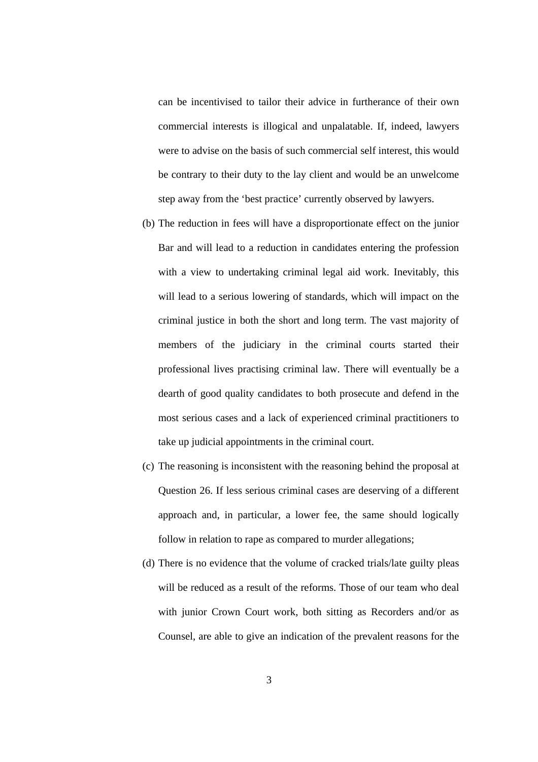can be incentivised to tailor their advice in furtherance of their own commercial interests is illogical and unpalatable. If, indeed, lawyers were to advise on the basis of such commercial self interest, this would be contrary to their duty to the lay client and would be an unwelcome step away from the 'best practice' currently observed by lawyers.

- (b) The reduction in fees will have a disproportionate effect on the junior Bar and will lead to a reduction in candidates entering the profession with a view to undertaking criminal legal aid work. Inevitably, this will lead to a serious lowering of standards, which will impact on the criminal justice in both the short and long term. The vast majority of members of the judiciary in the criminal courts started their professional lives practising criminal law. There will eventually be a dearth of good quality candidates to both prosecute and defend in the most serious cases and a lack of experienced criminal practitioners to take up judicial appointments in the criminal court.
- (c) The reasoning is inconsistent with the reasoning behind the proposal at Question 26. If less serious criminal cases are deserving of a different approach and, in particular, a lower fee, the same should logically follow in relation to rape as compared to murder allegations;
- (d) There is no evidence that the volume of cracked trials/late guilty pleas will be reduced as a result of the reforms. Those of our team who deal with junior Crown Court work, both sitting as Recorders and/or as Counsel, are able to give an indication of the prevalent reasons for the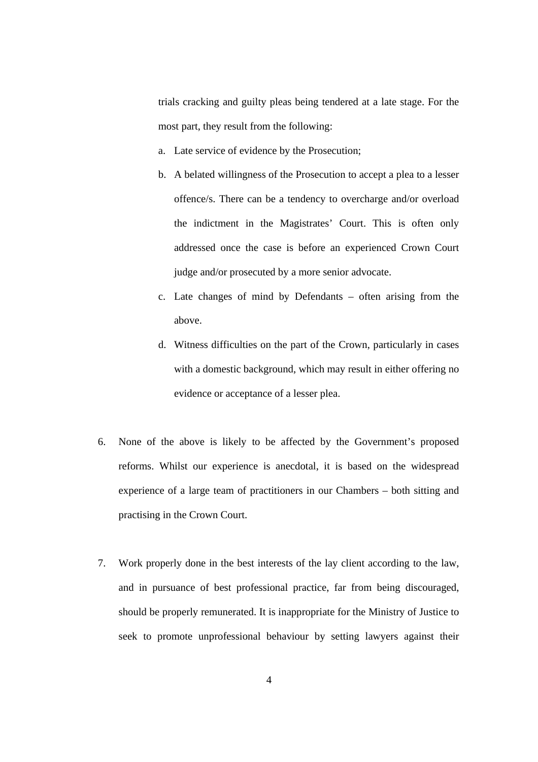trials cracking and guilty pleas being tendered at a late stage. For the most part, they result from the following:

- a. Late service of evidence by the Prosecution;
- b. A belated willingness of the Prosecution to accept a plea to a lesser offence/s. There can be a tendency to overcharge and/or overload the indictment in the Magistrates' Court. This is often only addressed once the case is before an experienced Crown Court judge and/or prosecuted by a more senior advocate.
- c. Late changes of mind by Defendants often arising from the above.
- d. Witness difficulties on the part of the Crown, particularly in cases with a domestic background, which may result in either offering no evidence or acceptance of a lesser plea.
- 6. None of the above is likely to be affected by the Government's proposed reforms. Whilst our experience is anecdotal, it is based on the widespread experience of a large team of practitioners in our Chambers – both sitting and practising in the Crown Court.
- 7. Work properly done in the best interests of the lay client according to the law, and in pursuance of best professional practice, far from being discouraged, should be properly remunerated. It is inappropriate for the Ministry of Justice to seek to promote unprofessional behaviour by setting lawyers against their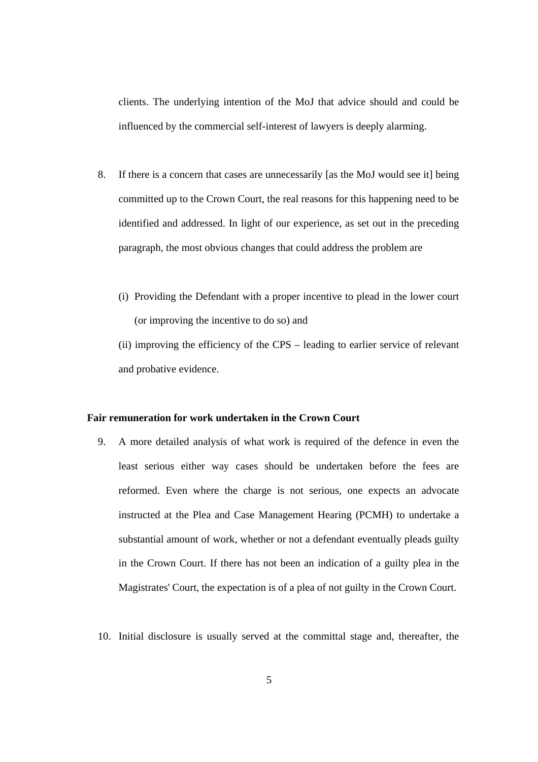clients. The underlying intention of the MoJ that advice should and could be influenced by the commercial self-interest of lawyers is deeply alarming.

- 8. If there is a concern that cases are unnecessarily [as the MoJ would see it] being committed up to the Crown Court, the real reasons for this happening need to be identified and addressed. In light of our experience, as set out in the preceding paragraph, the most obvious changes that could address the problem are
	- (i) Providing the Defendant with a proper incentive to plead in the lower court (or improving the incentive to do so) and

(ii) improving the efficiency of the CPS – leading to earlier service of relevant and probative evidence.

# **Fair remuneration for work undertaken in the Crown Court**

- 9. A more detailed analysis of what work is required of the defence in even the least serious either way cases should be undertaken before the fees are reformed. Even where the charge is not serious, one expects an advocate instructed at the Plea and Case Management Hearing (PCMH) to undertake a substantial amount of work, whether or not a defendant eventually pleads guilty in the Crown Court. If there has not been an indication of a guilty plea in the Magistrates' Court, the expectation is of a plea of not guilty in the Crown Court.
- 10. Initial disclosure is usually served at the committal stage and, thereafter, the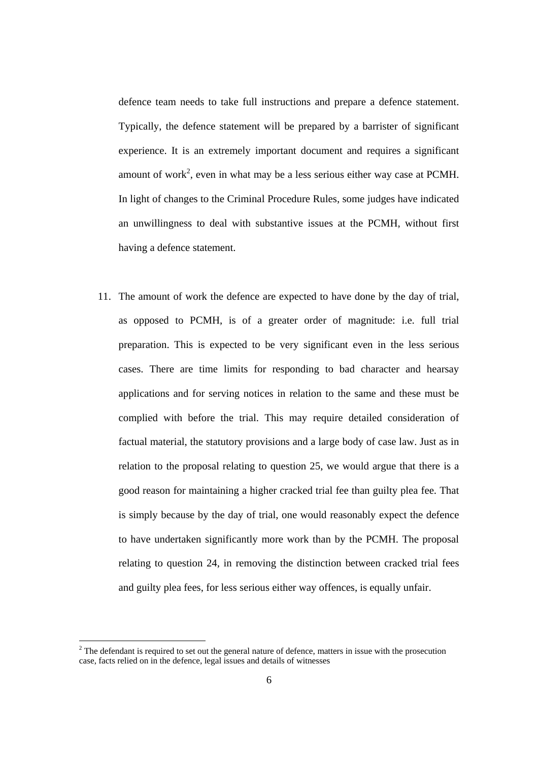defence team needs to take full instructions and prepare a defence statement. Typically, the defence statement will be prepared by a barrister of significant experience. It is an extremely important document and requires a significant amount of work<sup>2</sup>, even in what may be a less serious either way case at PCMH. In light of changes to the Criminal Procedure Rules, some judges have indicated an unwillingness to deal with substantive issues at the PCMH, without first having a defence statement.

11. The amount of work the defence are expected to have done by the day of trial, as opposed to PCMH, is of a greater order of magnitude: i.e. full trial preparation. This is expected to be very significant even in the less serious cases. There are time limits for responding to bad character and hearsay applications and for serving notices in relation to the same and these must be complied with before the trial. This may require detailed consideration of factual material, the statutory provisions and a large body of case law. Just as in relation to the proposal relating to question 25, we would argue that there is a good reason for maintaining a higher cracked trial fee than guilty plea fee. That is simply because by the day of trial, one would reasonably expect the defence to have undertaken significantly more work than by the PCMH. The proposal relating to question 24, in removing the distinction between cracked trial fees and guilty plea fees, for less serious either way offences, is equally unfair.

 $2<sup>2</sup>$  The defendant is required to set out the general nature of defence, matters in issue with the prosecution case, facts relied on in the defence, legal issues and details of witnesses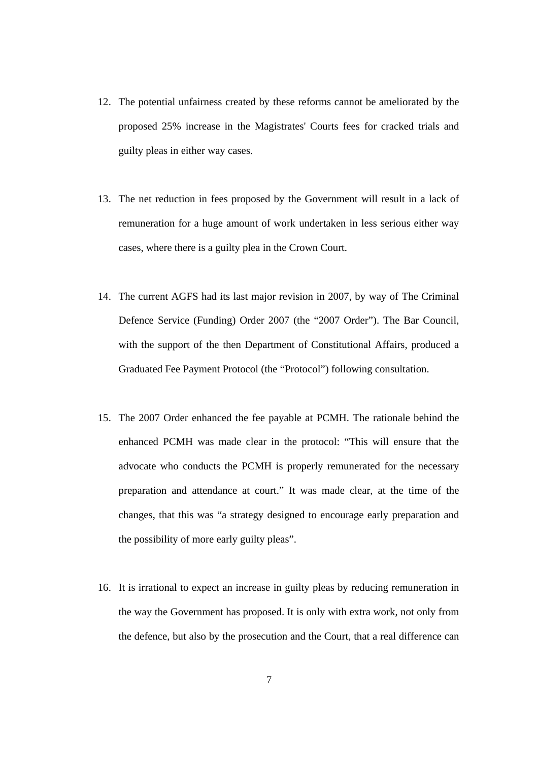- 12. The potential unfairness created by these reforms cannot be ameliorated by the proposed 25% increase in the Magistrates' Courts fees for cracked trials and guilty pleas in either way cases.
- 13. The net reduction in fees proposed by the Government will result in a lack of remuneration for a huge amount of work undertaken in less serious either way cases, where there is a guilty plea in the Crown Court.
- 14. The current AGFS had its last major revision in 2007, by way of The Criminal Defence Service (Funding) Order 2007 (the "2007 Order"). The Bar Council, with the support of the then Department of Constitutional Affairs, produced a Graduated Fee Payment Protocol (the "Protocol") following consultation.
- 15. The 2007 Order enhanced the fee payable at PCMH. The rationale behind the enhanced PCMH was made clear in the protocol: "This will ensure that the advocate who conducts the PCMH is properly remunerated for the necessary preparation and attendance at court." It was made clear, at the time of the changes, that this was "a strategy designed to encourage early preparation and the possibility of more early guilty pleas".
- 16. It is irrational to expect an increase in guilty pleas by reducing remuneration in the way the Government has proposed. It is only with extra work, not only from the defence, but also by the prosecution and the Court, that a real difference can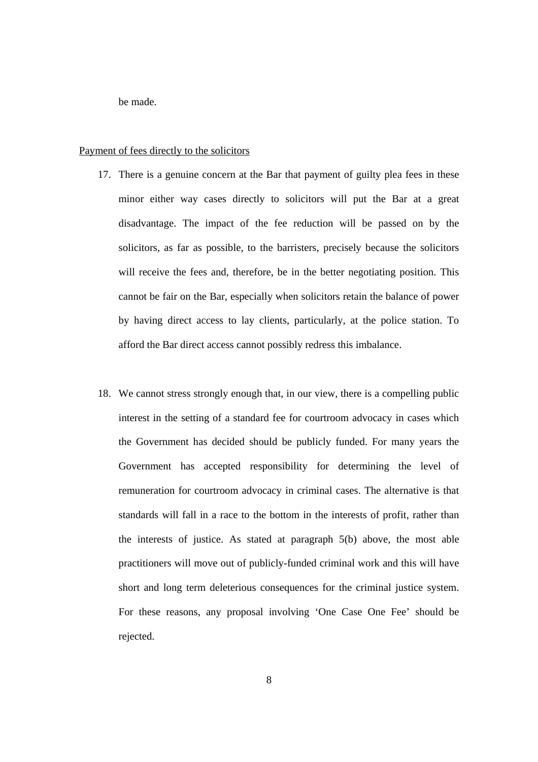be made.

#### Payment of fees directly to the solicitors

- 17. There is a genuine concern at the Bar that payment of guilty plea fees in these minor either way cases directly to solicitors will put the Bar at a great disadvantage. The impact of the fee reduction will be passed on by the solicitors, as far as possible, to the barristers, precisely because the solicitors will receive the fees and, therefore, be in the better negotiating position. This cannot be fair on the Bar, especially when solicitors retain the balance of power by having direct access to lay clients, particularly, at the police station. To afford the Bar direct access cannot possibly redress this imbalance.
- 18. We cannot stress strongly enough that, in our view, there is a compelling public interest in the setting of a standard fee for courtroom advocacy in cases which the Government has decided should be publicly funded. For many years the Government has accepted responsibility for determining the level of remuneration for courtroom advocacy in criminal cases. The alternative is that standards will fall in a race to the bottom in the interests of profit, rather than the interests of justice. As stated at paragraph 5(b) above, the most able practitioners will move out of publicly-funded criminal work and this will have short and long term deleterious consequences for the criminal justice system. For these reasons, any proposal involving 'One Case One Fee' should be rejected.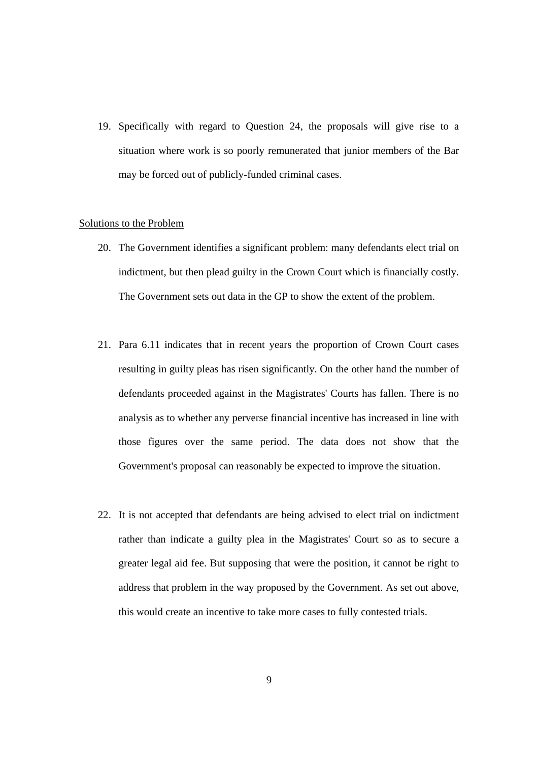19. Specifically with regard to Question 24, the proposals will give rise to a situation where work is so poorly remunerated that junior members of the Bar may be forced out of publicly-funded criminal cases.

# Solutions to the Problem

- 20. The Government identifies a significant problem: many defendants elect trial on indictment, but then plead guilty in the Crown Court which is financially costly. The Government sets out data in the GP to show the extent of the problem.
- 21. Para 6.11 indicates that in recent years the proportion of Crown Court cases resulting in guilty pleas has risen significantly. On the other hand the number of defendants proceeded against in the Magistrates' Courts has fallen. There is no analysis as to whether any perverse financial incentive has increased in line with those figures over the same period. The data does not show that the Government's proposal can reasonably be expected to improve the situation.
- 22. It is not accepted that defendants are being advised to elect trial on indictment rather than indicate a guilty plea in the Magistrates' Court so as to secure a greater legal aid fee. But supposing that were the position, it cannot be right to address that problem in the way proposed by the Government. As set out above, this would create an incentive to take more cases to fully contested trials.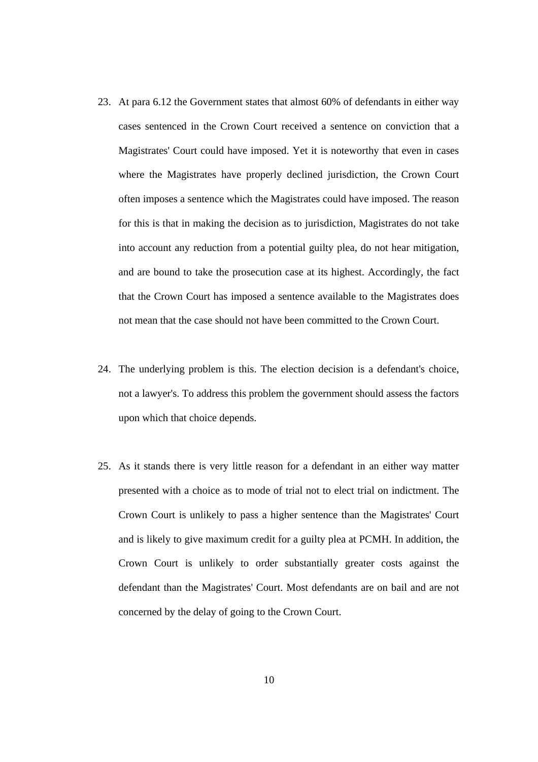- 23. At para 6.12 the Government states that almost 60% of defendants in either way cases sentenced in the Crown Court received a sentence on conviction that a Magistrates' Court could have imposed. Yet it is noteworthy that even in cases where the Magistrates have properly declined jurisdiction, the Crown Court often imposes a sentence which the Magistrates could have imposed. The reason for this is that in making the decision as to jurisdiction, Magistrates do not take into account any reduction from a potential guilty plea, do not hear mitigation, and are bound to take the prosecution case at its highest. Accordingly, the fact that the Crown Court has imposed a sentence available to the Magistrates does not mean that the case should not have been committed to the Crown Court.
- 24. The underlying problem is this. The election decision is a defendant's choice, not a lawyer's. To address this problem the government should assess the factors upon which that choice depends.
- 25. As it stands there is very little reason for a defendant in an either way matter presented with a choice as to mode of trial not to elect trial on indictment. The Crown Court is unlikely to pass a higher sentence than the Magistrates' Court and is likely to give maximum credit for a guilty plea at PCMH. In addition, the Crown Court is unlikely to order substantially greater costs against the defendant than the Magistrates' Court. Most defendants are on bail and are not concerned by the delay of going to the Crown Court.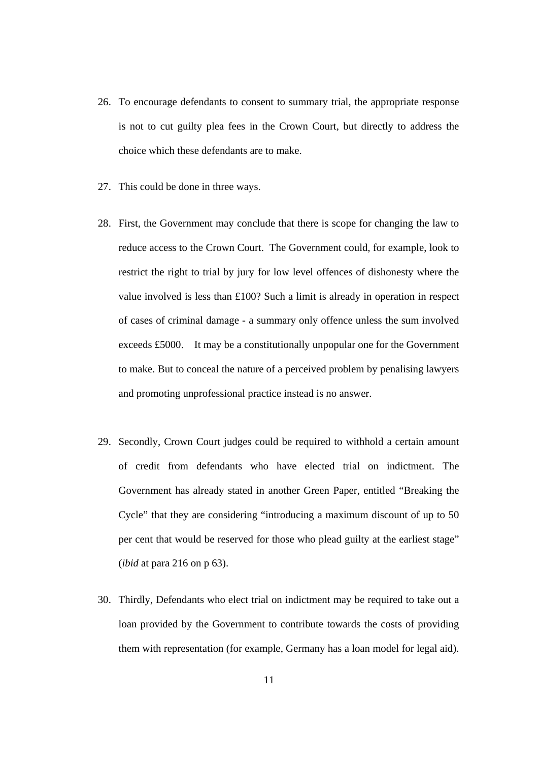- 26. To encourage defendants to consent to summary trial, the appropriate response is not to cut guilty plea fees in the Crown Court, but directly to address the choice which these defendants are to make.
- 27. This could be done in three ways.
- 28. First, the Government may conclude that there is scope for changing the law to reduce access to the Crown Court. The Government could, for example, look to restrict the right to trial by jury for low level offences of dishonesty where the value involved is less than £100? Such a limit is already in operation in respect of cases of criminal damage - a summary only offence unless the sum involved exceeds £5000. It may be a constitutionally unpopular one for the Government to make. But to conceal the nature of a perceived problem by penalising lawyers and promoting unprofessional practice instead is no answer.
- 29. Secondly, Crown Court judges could be required to withhold a certain amount of credit from defendants who have elected trial on indictment. The Government has already stated in another Green Paper, entitled "Breaking the Cycle" that they are considering "introducing a maximum discount of up to 50 per cent that would be reserved for those who plead guilty at the earliest stage" (*ibid* at para 216 on p 63).
- 30. Thirdly, Defendants who elect trial on indictment may be required to take out a loan provided by the Government to contribute towards the costs of providing them with representation (for example, Germany has a loan model for legal aid).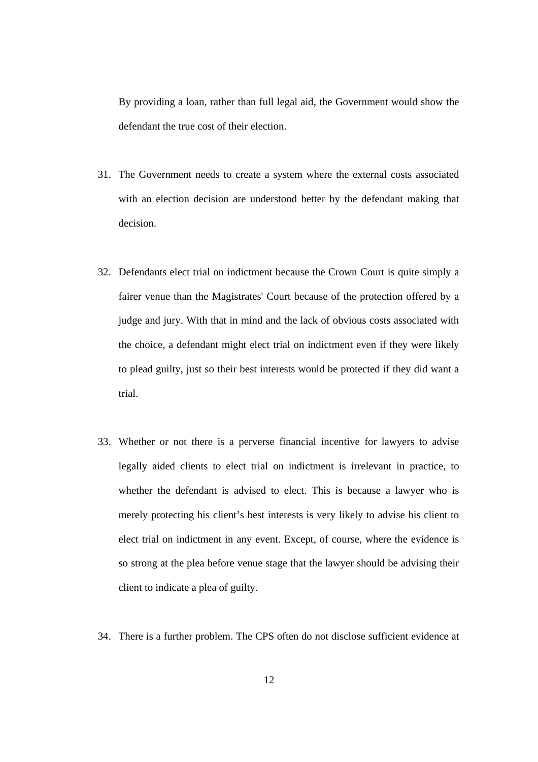By providing a loan, rather than full legal aid, the Government would show the defendant the true cost of their election.

- 31. The Government needs to create a system where the external costs associated with an election decision are understood better by the defendant making that decision.
- 32. Defendants elect trial on indictment because the Crown Court is quite simply a fairer venue than the Magistrates' Court because of the protection offered by a judge and jury. With that in mind and the lack of obvious costs associated with the choice, a defendant might elect trial on indictment even if they were likely to plead guilty, just so their best interests would be protected if they did want a trial.
- 33. Whether or not there is a perverse financial incentive for lawyers to advise legally aided clients to elect trial on indictment is irrelevant in practice, to whether the defendant is advised to elect. This is because a lawyer who is merely protecting his client's best interests is very likely to advise his client to elect trial on indictment in any event. Except, of course, where the evidence is so strong at the plea before venue stage that the lawyer should be advising their client to indicate a plea of guilty.
- 34. There is a further problem. The CPS often do not disclose sufficient evidence at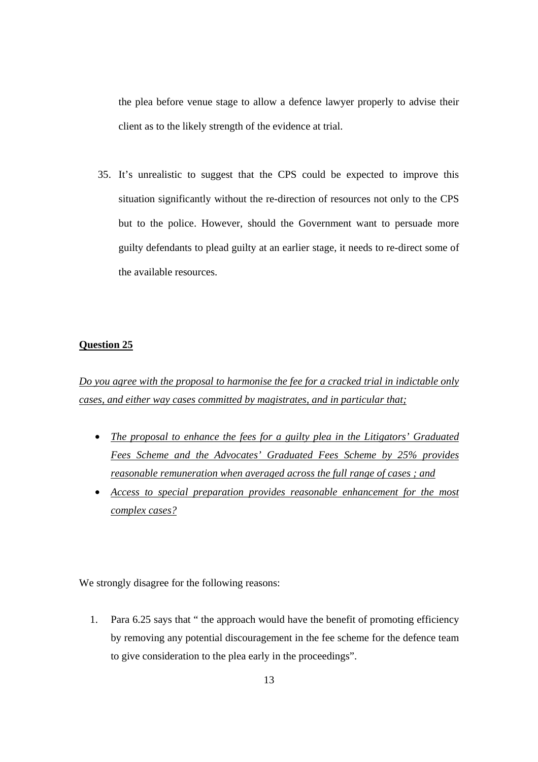the plea before venue stage to allow a defence lawyer properly to advise their client as to the likely strength of the evidence at trial.

35. It's unrealistic to suggest that the CPS could be expected to improve this situation significantly without the re-direction of resources not only to the CPS but to the police. However, should the Government want to persuade more guilty defendants to plead guilty at an earlier stage, it needs to re-direct some of the available resources.

### **Question 25**

*Do you agree with the proposal to harmonise the fee for a cracked trial in indictable only cases, and either way cases committed by magistrates, and in particular that;*

- *The proposal to enhance the fees for a guilty plea in the Litigators' Graduated Fees Scheme and the Advocates' Graduated Fees Scheme by 25% provides reasonable remuneration when averaged across the full range of cases ; and*
- *Access to special preparation provides reasonable enhancement for the most complex cases?*

We strongly disagree for the following reasons:

1. Para 6.25 says that " the approach would have the benefit of promoting efficiency by removing any potential discouragement in the fee scheme for the defence team to give consideration to the plea early in the proceedings".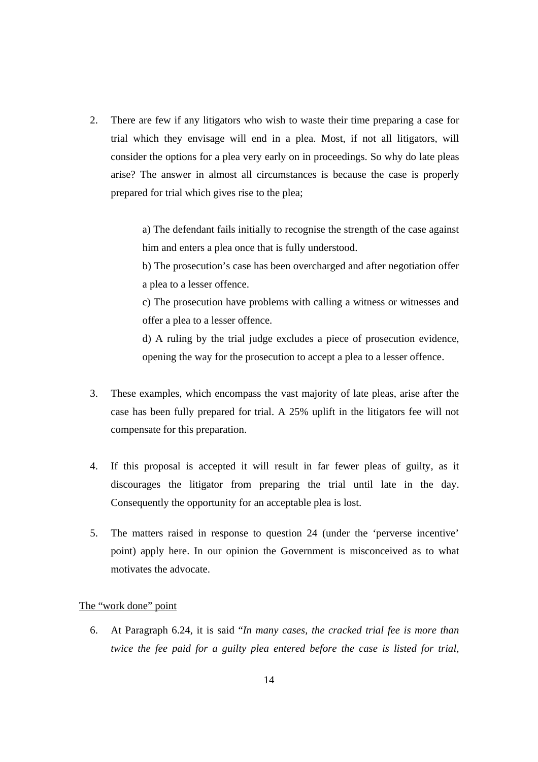2. There are few if any litigators who wish to waste their time preparing a case for trial which they envisage will end in a plea. Most, if not all litigators, will consider the options for a plea very early on in proceedings. So why do late pleas arise? The answer in almost all circumstances is because the case is properly prepared for trial which gives rise to the plea;

> a) The defendant fails initially to recognise the strength of the case against him and enters a plea once that is fully understood.

> b) The prosecution's case has been overcharged and after negotiation offer a plea to a lesser offence.

> c) The prosecution have problems with calling a witness or witnesses and offer a plea to a lesser offence.

> d) A ruling by the trial judge excludes a piece of prosecution evidence, opening the way for the prosecution to accept a plea to a lesser offence.

- 3. These examples, which encompass the vast majority of late pleas, arise after the case has been fully prepared for trial. A 25% uplift in the litigators fee will not compensate for this preparation.
- 4. If this proposal is accepted it will result in far fewer pleas of guilty, as it discourages the litigator from preparing the trial until late in the day. Consequently the opportunity for an acceptable plea is lost.
- 5. The matters raised in response to question 24 (under the 'perverse incentive' point) apply here. In our opinion the Government is misconceived as to what motivates the advocate.

The "work done" point

6. At Paragraph 6.24, it is said "*In many cases, the cracked trial fee is more than twice the fee paid for a guilty plea entered before the case is listed for trial,*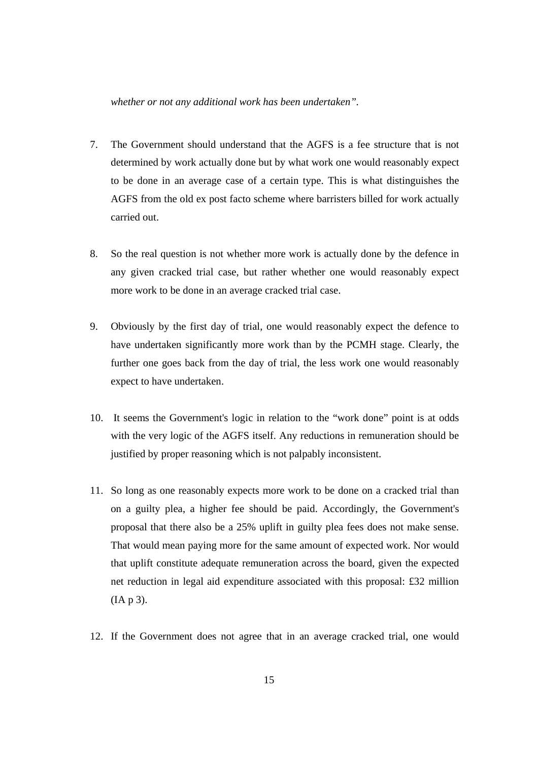#### *whether or not any additional work has been undertaken".*

- 7. The Government should understand that the AGFS is a fee structure that is not determined by work actually done but by what work one would reasonably expect to be done in an average case of a certain type. This is what distinguishes the AGFS from the old ex post facto scheme where barristers billed for work actually carried out.
- 8. So the real question is not whether more work is actually done by the defence in any given cracked trial case, but rather whether one would reasonably expect more work to be done in an average cracked trial case.
- 9. Obviously by the first day of trial, one would reasonably expect the defence to have undertaken significantly more work than by the PCMH stage. Clearly, the further one goes back from the day of trial, the less work one would reasonably expect to have undertaken.
- 10. It seems the Government's logic in relation to the "work done" point is at odds with the very logic of the AGFS itself. Any reductions in remuneration should be justified by proper reasoning which is not palpably inconsistent.
- 11. So long as one reasonably expects more work to be done on a cracked trial than on a guilty plea, a higher fee should be paid. Accordingly, the Government's proposal that there also be a 25% uplift in guilty plea fees does not make sense. That would mean paying more for the same amount of expected work. Nor would that uplift constitute adequate remuneration across the board, given the expected net reduction in legal aid expenditure associated with this proposal: £32 million (IA p 3).
- 12. If the Government does not agree that in an average cracked trial, one would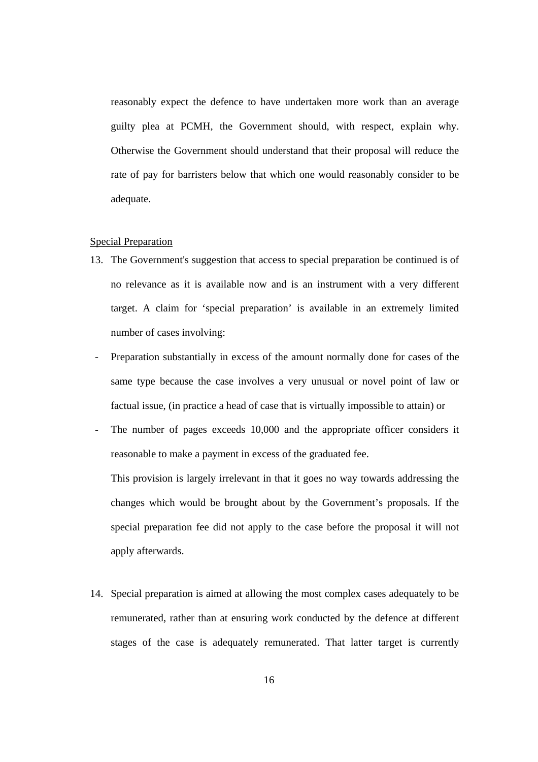reasonably expect the defence to have undertaken more work than an average guilty plea at PCMH, the Government should, with respect, explain why. Otherwise the Government should understand that their proposal will reduce the rate of pay for barristers below that which one would reasonably consider to be adequate.

#### Special Preparation

- 13. The Government's suggestion that access to special preparation be continued is of no relevance as it is available now and is an instrument with a very different target. A claim for 'special preparation' is available in an extremely limited number of cases involving:
- Preparation substantially in excess of the amount normally done for cases of the same type because the case involves a very unusual or novel point of law or factual issue, (in practice a head of case that is virtually impossible to attain) or
- The number of pages exceeds 10,000 and the appropriate officer considers it reasonable to make a payment in excess of the graduated fee.

This provision is largely irrelevant in that it goes no way towards addressing the changes which would be brought about by the Government's proposals. If the special preparation fee did not apply to the case before the proposal it will not apply afterwards.

14. Special preparation is aimed at allowing the most complex cases adequately to be remunerated, rather than at ensuring work conducted by the defence at different stages of the case is adequately remunerated. That latter target is currently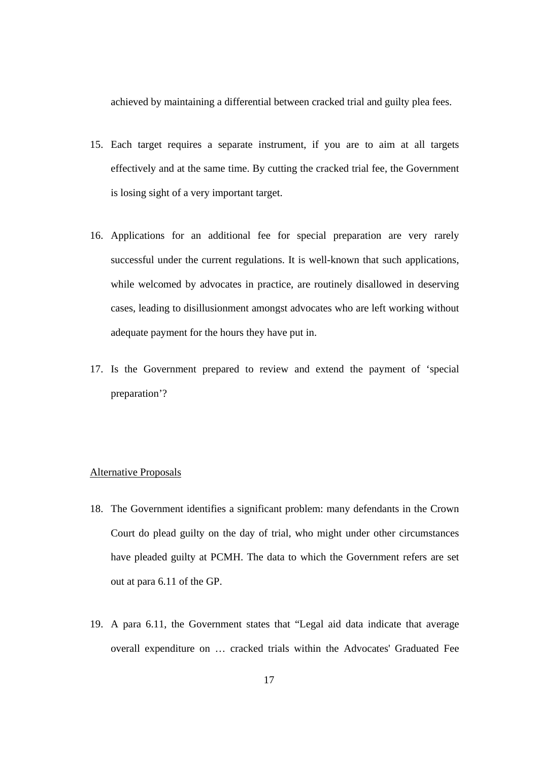achieved by maintaining a differential between cracked trial and guilty plea fees.

- 15. Each target requires a separate instrument, if you are to aim at all targets effectively and at the same time. By cutting the cracked trial fee, the Government is losing sight of a very important target.
- 16. Applications for an additional fee for special preparation are very rarely successful under the current regulations. It is well-known that such applications, while welcomed by advocates in practice, are routinely disallowed in deserving cases, leading to disillusionment amongst advocates who are left working without adequate payment for the hours they have put in.
- 17. Is the Government prepared to review and extend the payment of 'special preparation'?

## Alternative Proposals

- 18. The Government identifies a significant problem: many defendants in the Crown Court do plead guilty on the day of trial, who might under other circumstances have pleaded guilty at PCMH. The data to which the Government refers are set out at para 6.11 of the GP.
- 19. A para 6.11, the Government states that "Legal aid data indicate that average overall expenditure on … cracked trials within the Advocates' Graduated Fee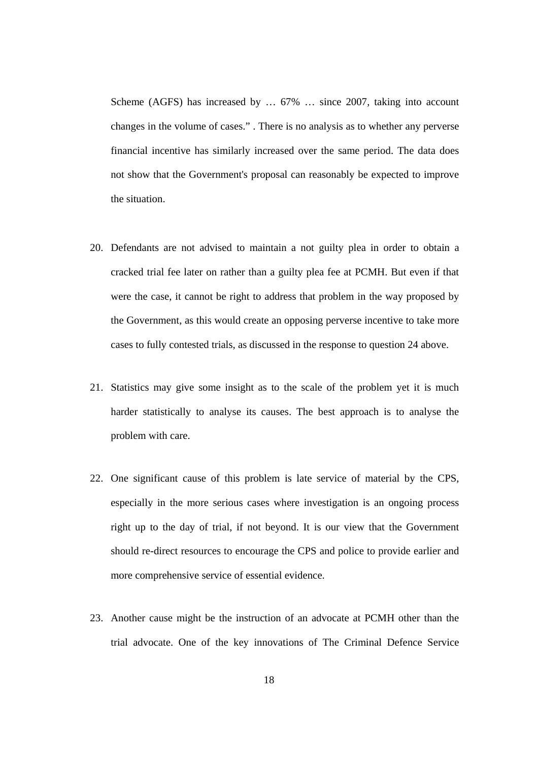Scheme (AGFS) has increased by … 67% … since 2007, taking into account changes in the volume of cases." . There is no analysis as to whether any perverse financial incentive has similarly increased over the same period. The data does not show that the Government's proposal can reasonably be expected to improve the situation.

- 20. Defendants are not advised to maintain a not guilty plea in order to obtain a cracked trial fee later on rather than a guilty plea fee at PCMH. But even if that were the case, it cannot be right to address that problem in the way proposed by the Government, as this would create an opposing perverse incentive to take more cases to fully contested trials, as discussed in the response to question 24 above.
- 21. Statistics may give some insight as to the scale of the problem yet it is much harder statistically to analyse its causes. The best approach is to analyse the problem with care.
- 22. One significant cause of this problem is late service of material by the CPS, especially in the more serious cases where investigation is an ongoing process right up to the day of trial, if not beyond. It is our view that the Government should re-direct resources to encourage the CPS and police to provide earlier and more comprehensive service of essential evidence.
- 23. Another cause might be the instruction of an advocate at PCMH other than the trial advocate. One of the key innovations of The Criminal Defence Service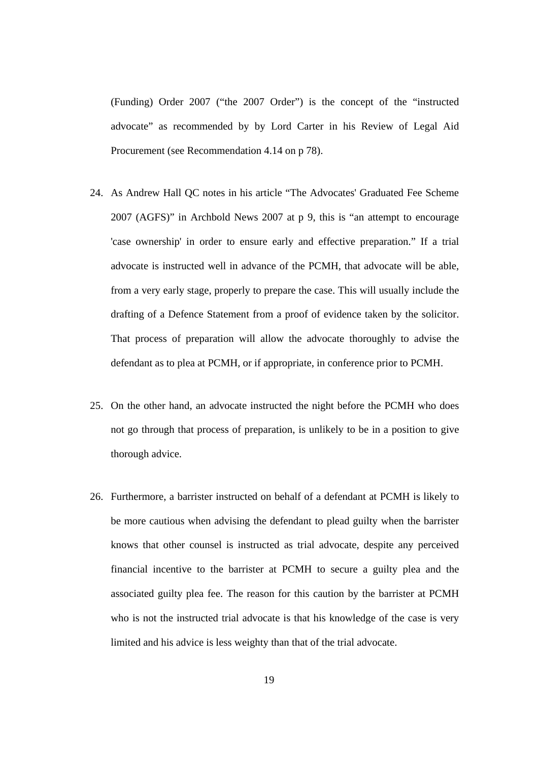(Funding) Order 2007 ("the 2007 Order") is the concept of the "instructed advocate" as recommended by by Lord Carter in his Review of Legal Aid Procurement (see Recommendation 4.14 on p 78).

- 24. As Andrew Hall QC notes in his article "The Advocates' Graduated Fee Scheme 2007 (AGFS)" in Archbold News 2007 at p 9, this is "an attempt to encourage 'case ownership' in order to ensure early and effective preparation." If a trial advocate is instructed well in advance of the PCMH, that advocate will be able, from a very early stage, properly to prepare the case. This will usually include the drafting of a Defence Statement from a proof of evidence taken by the solicitor. That process of preparation will allow the advocate thoroughly to advise the defendant as to plea at PCMH, or if appropriate, in conference prior to PCMH.
- 25. On the other hand, an advocate instructed the night before the PCMH who does not go through that process of preparation, is unlikely to be in a position to give thorough advice.
- 26. Furthermore, a barrister instructed on behalf of a defendant at PCMH is likely to be more cautious when advising the defendant to plead guilty when the barrister knows that other counsel is instructed as trial advocate, despite any perceived financial incentive to the barrister at PCMH to secure a guilty plea and the associated guilty plea fee. The reason for this caution by the barrister at PCMH who is not the instructed trial advocate is that his knowledge of the case is very limited and his advice is less weighty than that of the trial advocate.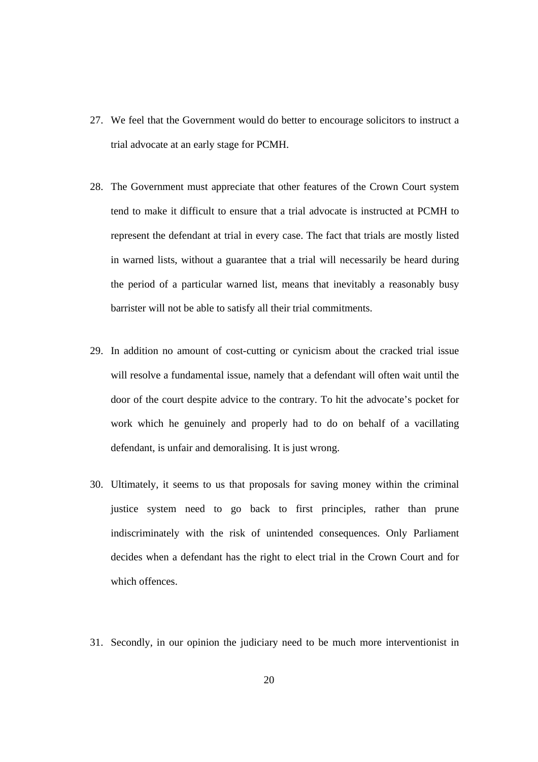- 27. We feel that the Government would do better to encourage solicitors to instruct a trial advocate at an early stage for PCMH.
- 28. The Government must appreciate that other features of the Crown Court system tend to make it difficult to ensure that a trial advocate is instructed at PCMH to represent the defendant at trial in every case. The fact that trials are mostly listed in warned lists, without a guarantee that a trial will necessarily be heard during the period of a particular warned list, means that inevitably a reasonably busy barrister will not be able to satisfy all their trial commitments.
- 29. In addition no amount of cost-cutting or cynicism about the cracked trial issue will resolve a fundamental issue, namely that a defendant will often wait until the door of the court despite advice to the contrary. To hit the advocate's pocket for work which he genuinely and properly had to do on behalf of a vacillating defendant, is unfair and demoralising. It is just wrong.
- 30. Ultimately, it seems to us that proposals for saving money within the criminal justice system need to go back to first principles, rather than prune indiscriminately with the risk of unintended consequences. Only Parliament decides when a defendant has the right to elect trial in the Crown Court and for which offences.
- 31. Secondly, in our opinion the judiciary need to be much more interventionist in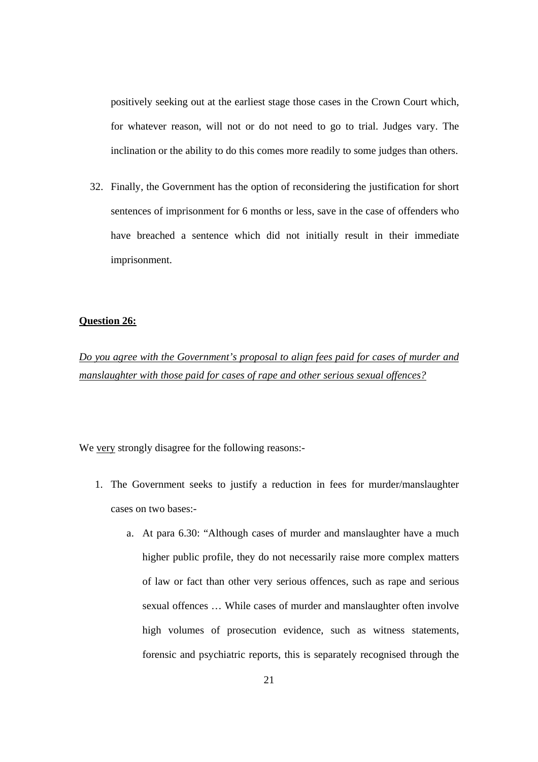positively seeking out at the earliest stage those cases in the Crown Court which, for whatever reason, will not or do not need to go to trial. Judges vary. The inclination or the ability to do this comes more readily to some judges than others.

32. Finally, the Government has the option of reconsidering the justification for short sentences of imprisonment for 6 months or less, save in the case of offenders who have breached a sentence which did not initially result in their immediate imprisonment.

# **Question 26:**

*Do you agree with the Government's proposal to align fees paid for cases of murder and manslaughter with those paid for cases of rape and other serious sexual offences?*

We very strongly disagree for the following reasons:-

- 1. The Government seeks to justify a reduction in fees for murder/manslaughter cases on two bases:
	- a. At para 6.30: "Although cases of murder and manslaughter have a much higher public profile, they do not necessarily raise more complex matters of law or fact than other very serious offences, such as rape and serious sexual offences … While cases of murder and manslaughter often involve high volumes of prosecution evidence, such as witness statements, forensic and psychiatric reports, this is separately recognised through the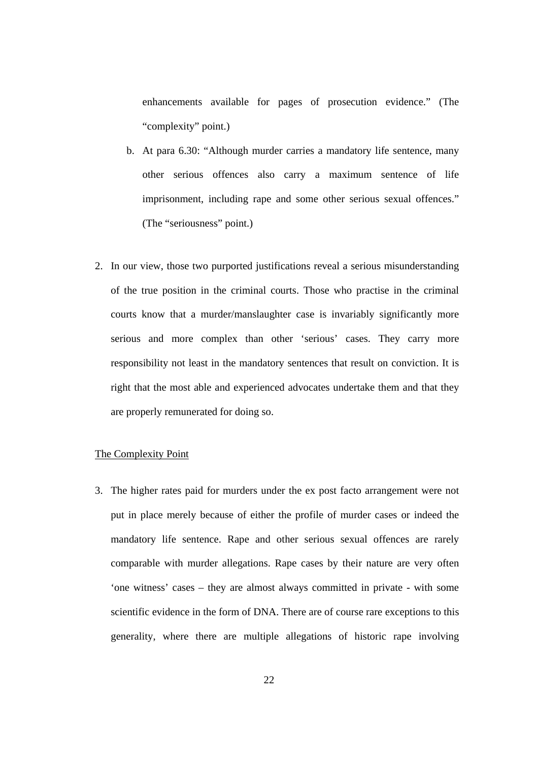enhancements available for pages of prosecution evidence." (The "complexity" point.)

- b. At para 6.30: "Although murder carries a mandatory life sentence, many other serious offences also carry a maximum sentence of life imprisonment, including rape and some other serious sexual offences." (The "seriousness" point.)
- 2. In our view, those two purported justifications reveal a serious misunderstanding of the true position in the criminal courts. Those who practise in the criminal courts know that a murder/manslaughter case is invariably significantly more serious and more complex than other 'serious' cases. They carry more responsibility not least in the mandatory sentences that result on conviction. It is right that the most able and experienced advocates undertake them and that they are properly remunerated for doing so.

# The Complexity Point

3. The higher rates paid for murders under the ex post facto arrangement were not put in place merely because of either the profile of murder cases or indeed the mandatory life sentence. Rape and other serious sexual offences are rarely comparable with murder allegations. Rape cases by their nature are very often 'one witness' cases – they are almost always committed in private - with some scientific evidence in the form of DNA. There are of course rare exceptions to this generality, where there are multiple allegations of historic rape involving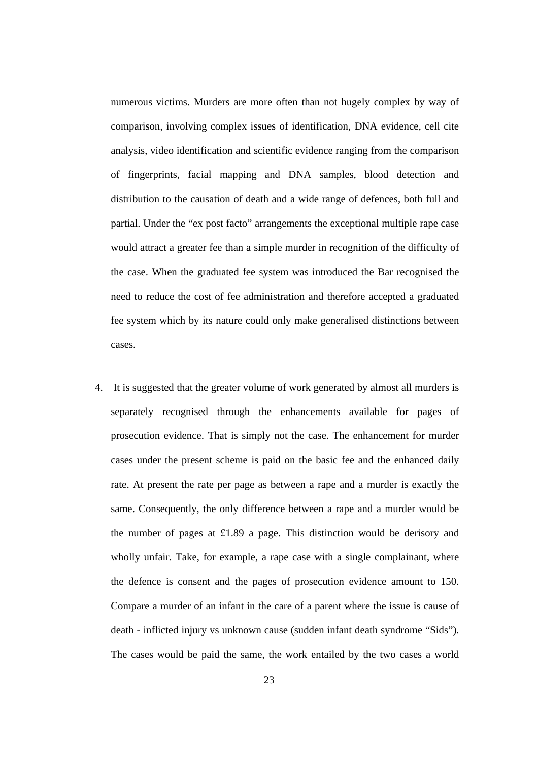numerous victims. Murders are more often than not hugely complex by way of comparison, involving complex issues of identification, DNA evidence, cell cite analysis, video identification and scientific evidence ranging from the comparison of fingerprints, facial mapping and DNA samples, blood detection and distribution to the causation of death and a wide range of defences, both full and partial. Under the "ex post facto" arrangements the exceptional multiple rape case would attract a greater fee than a simple murder in recognition of the difficulty of the case. When the graduated fee system was introduced the Bar recognised the need to reduce the cost of fee administration and therefore accepted a graduated fee system which by its nature could only make generalised distinctions between cases.

4. It is suggested that the greater volume of work generated by almost all murders is separately recognised through the enhancements available for pages of prosecution evidence. That is simply not the case. The enhancement for murder cases under the present scheme is paid on the basic fee and the enhanced daily rate. At present the rate per page as between a rape and a murder is exactly the same. Consequently, the only difference between a rape and a murder would be the number of pages at £1.89 a page. This distinction would be derisory and wholly unfair. Take, for example, a rape case with a single complainant, where the defence is consent and the pages of prosecution evidence amount to 150. Compare a murder of an infant in the care of a parent where the issue is cause of death - inflicted injury vs unknown cause (sudden infant death syndrome "Sids"). The cases would be paid the same, the work entailed by the two cases a world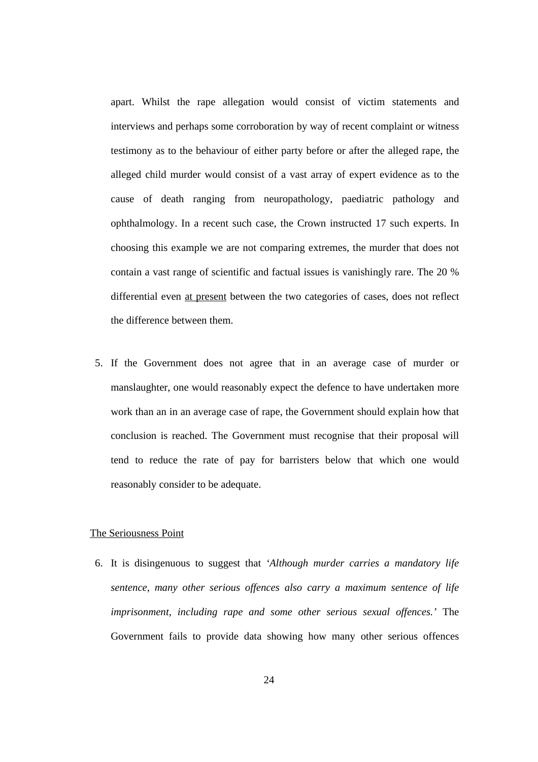apart. Whilst the rape allegation would consist of victim statements and interviews and perhaps some corroboration by way of recent complaint or witness testimony as to the behaviour of either party before or after the alleged rape, the alleged child murder would consist of a vast array of expert evidence as to the cause of death ranging from neuropathology, paediatric pathology and ophthalmology. In a recent such case, the Crown instructed 17 such experts. In choosing this example we are not comparing extremes, the murder that does not contain a vast range of scientific and factual issues is vanishingly rare. The 20 % differential even at present between the two categories of cases, does not reflect the difference between them.

5. If the Government does not agree that in an average case of murder or manslaughter, one would reasonably expect the defence to have undertaken more work than an in an average case of rape, the Government should explain how that conclusion is reached. The Government must recognise that their proposal will tend to reduce the rate of pay for barristers below that which one would reasonably consider to be adequate.

### The Seriousness Point

6. It is disingenuous to suggest that *'Although murder carries a mandatory life sentence, many other serious offences also carry a maximum sentence of life imprisonment, including rape and some other serious sexual offences.'* The Government fails to provide data showing how many other serious offences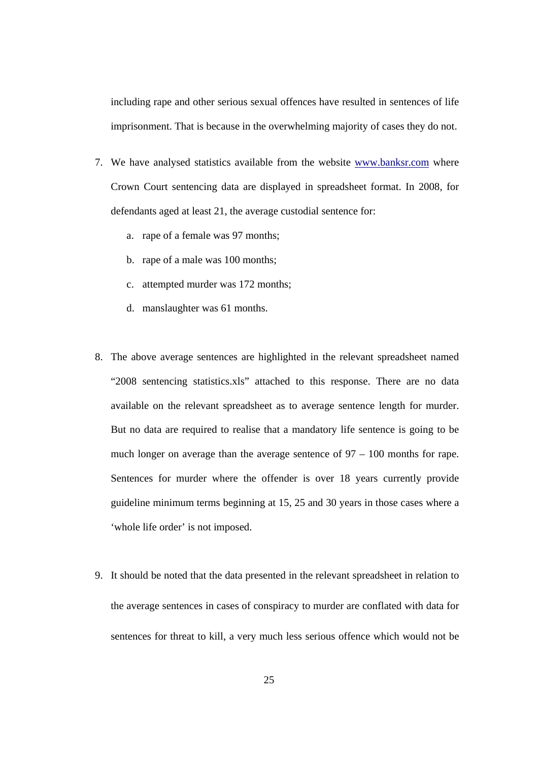including rape and other serious sexual offences have resulted in sentences of life imprisonment. That is because in the overwhelming majority of cases they do not.

- 7. We have analysed statistics available from the website www.banksr.com where Crown Court sentencing data are displayed in spreadsheet format. In 2008, for defendants aged at least 21, the average custodial sentence for:
	- a. rape of a female was 97 months;
	- b. rape of a male was 100 months;
	- c. attempted murder was 172 months;
	- d. manslaughter was 61 months.
- 8. The above average sentences are highlighted in the relevant spreadsheet named "2008 sentencing statistics.xls" attached to this response. There are no data available on the relevant spreadsheet as to average sentence length for murder. But no data are required to realise that a mandatory life sentence is going to be much longer on average than the average sentence of 97 – 100 months for rape. Sentences for murder where the offender is over 18 years currently provide guideline minimum terms beginning at 15, 25 and 30 years in those cases where a 'whole life order' is not imposed.
- 9. It should be noted that the data presented in the relevant spreadsheet in relation to the average sentences in cases of conspiracy to murder are conflated with data for sentences for threat to kill, a very much less serious offence which would not be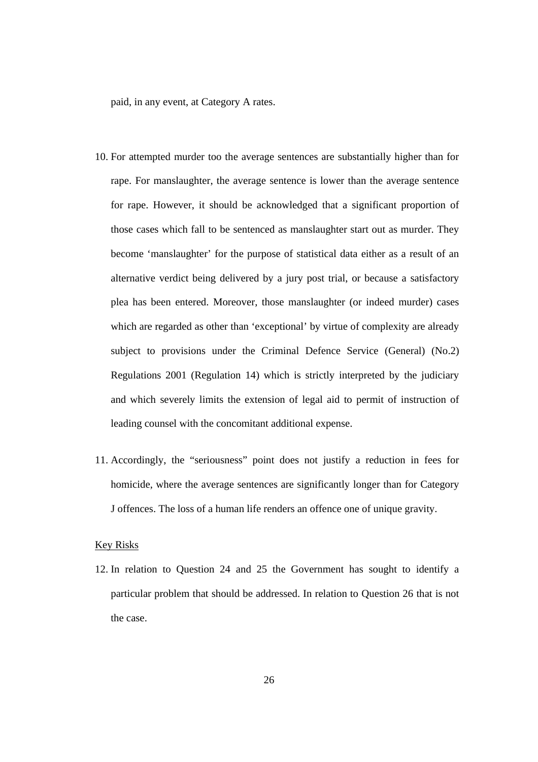paid, in any event, at Category A rates.

- 10. For attempted murder too the average sentences are substantially higher than for rape. For manslaughter, the average sentence is lower than the average sentence for rape. However, it should be acknowledged that a significant proportion of those cases which fall to be sentenced as manslaughter start out as murder. They become 'manslaughter' for the purpose of statistical data either as a result of an alternative verdict being delivered by a jury post trial, or because a satisfactory plea has been entered. Moreover, those manslaughter (or indeed murder) cases which are regarded as other than 'exceptional' by virtue of complexity are already subject to provisions under the Criminal Defence Service (General) (No.2) Regulations 2001 (Regulation 14) which is strictly interpreted by the judiciary and which severely limits the extension of legal aid to permit of instruction of leading counsel with the concomitant additional expense.
- 11. Accordingly, the "seriousness" point does not justify a reduction in fees for homicide, where the average sentences are significantly longer than for Category J offences. The loss of a human life renders an offence one of unique gravity.

## Key Risks

12. In relation to Question 24 and 25 the Government has sought to identify a particular problem that should be addressed. In relation to Question 26 that is not the case.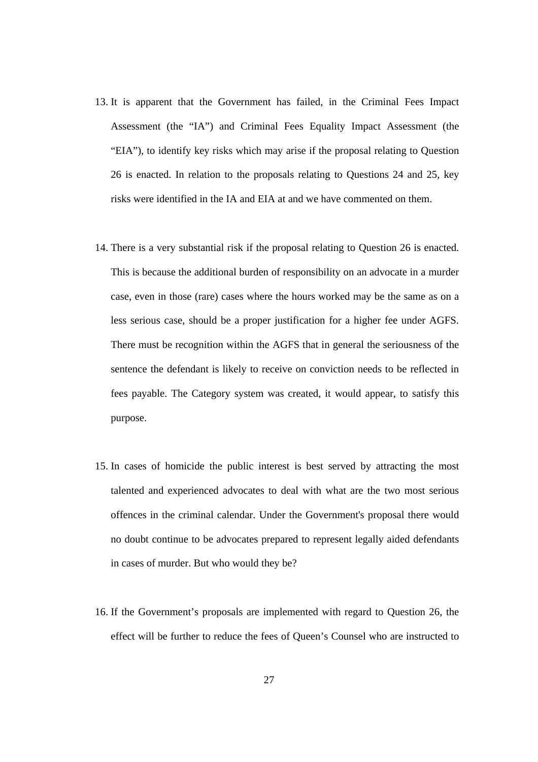- 13. It is apparent that the Government has failed, in the Criminal Fees Impact Assessment (the "IA") and Criminal Fees Equality Impact Assessment (the "EIA"), to identify key risks which may arise if the proposal relating to Question 26 is enacted. In relation to the proposals relating to Questions 24 and 25, key risks were identified in the IA and EIA at and we have commented on them.
- 14. There is a very substantial risk if the proposal relating to Question 26 is enacted. This is because the additional burden of responsibility on an advocate in a murder case, even in those (rare) cases where the hours worked may be the same as on a less serious case, should be a proper justification for a higher fee under AGFS. There must be recognition within the AGFS that in general the seriousness of the sentence the defendant is likely to receive on conviction needs to be reflected in fees payable. The Category system was created, it would appear, to satisfy this purpose.
- 15. In cases of homicide the public interest is best served by attracting the most talented and experienced advocates to deal with what are the two most serious offences in the criminal calendar. Under the Government's proposal there would no doubt continue to be advocates prepared to represent legally aided defendants in cases of murder. But who would they be?
- 16. If the Government's proposals are implemented with regard to Question 26, the effect will be further to reduce the fees of Queen's Counsel who are instructed to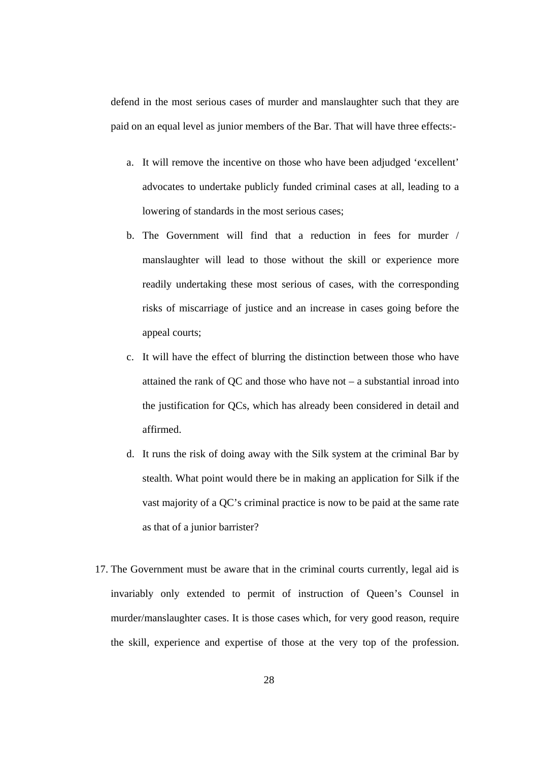defend in the most serious cases of murder and manslaughter such that they are paid on an equal level as junior members of the Bar. That will have three effects:-

- a. It will remove the incentive on those who have been adjudged 'excellent' advocates to undertake publicly funded criminal cases at all, leading to a lowering of standards in the most serious cases;
- b. The Government will find that a reduction in fees for murder / manslaughter will lead to those without the skill or experience more readily undertaking these most serious of cases, with the corresponding risks of miscarriage of justice and an increase in cases going before the appeal courts;
- c. It will have the effect of blurring the distinction between those who have attained the rank of QC and those who have not – a substantial inroad into the justification for QCs, which has already been considered in detail and affirmed.
- d. It runs the risk of doing away with the Silk system at the criminal Bar by stealth. What point would there be in making an application for Silk if the vast majority of a QC's criminal practice is now to be paid at the same rate as that of a junior barrister?
- 17. The Government must be aware that in the criminal courts currently, legal aid is invariably only extended to permit of instruction of Queen's Counsel in murder/manslaughter cases. It is those cases which, for very good reason, require the skill, experience and expertise of those at the very top of the profession.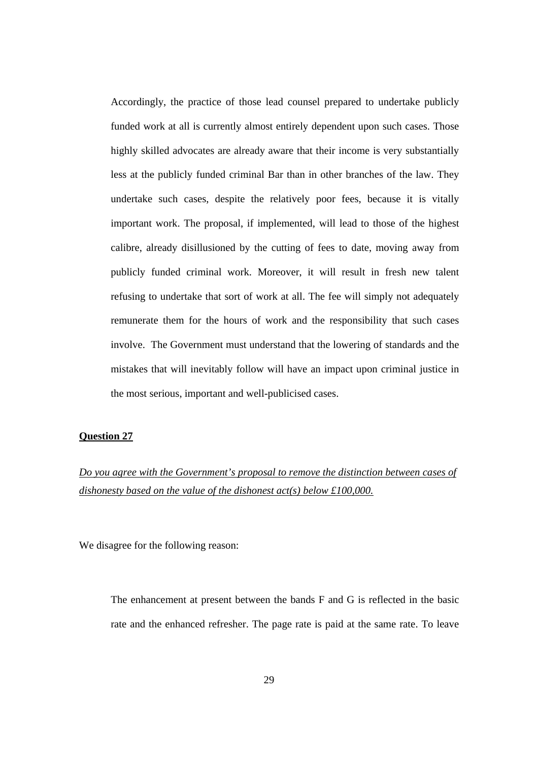Accordingly, the practice of those lead counsel prepared to undertake publicly funded work at all is currently almost entirely dependent upon such cases. Those highly skilled advocates are already aware that their income is very substantially less at the publicly funded criminal Bar than in other branches of the law. They undertake such cases, despite the relatively poor fees, because it is vitally important work. The proposal, if implemented, will lead to those of the highest calibre, already disillusioned by the cutting of fees to date, moving away from publicly funded criminal work. Moreover, it will result in fresh new talent refusing to undertake that sort of work at all. The fee will simply not adequately remunerate them for the hours of work and the responsibility that such cases involve. The Government must understand that the lowering of standards and the mistakes that will inevitably follow will have an impact upon criminal justice in the most serious, important and well-publicised cases.

#### **Question 27**

*Do you agree with the Government's proposal to remove the distinction between cases of dishonesty based on the value of the dishonest act(s) below £100,000.*

We disagree for the following reason:

The enhancement at present between the bands F and G is reflected in the basic rate and the enhanced refresher. The page rate is paid at the same rate. To leave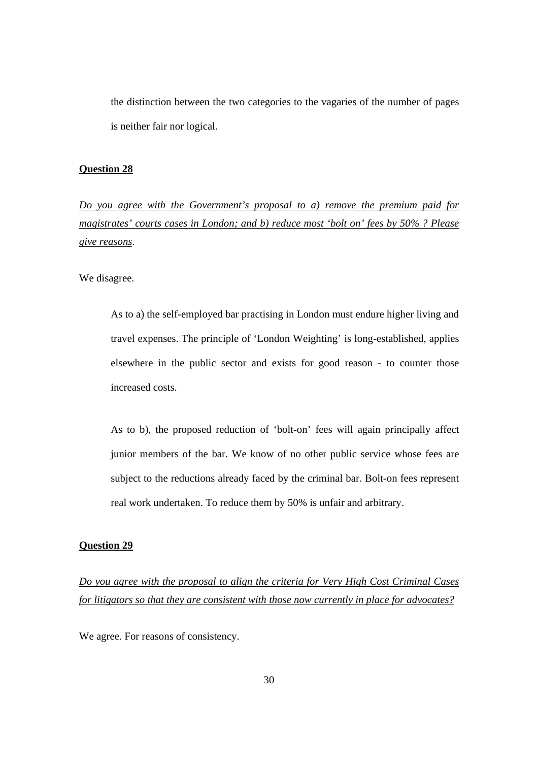the distinction between the two categories to the vagaries of the number of pages is neither fair nor logical.

# **Question 28**

*Do you agree with the Government's proposal to a) remove the premium paid for magistrates' courts cases in London; and b) reduce most 'bolt on' fees by 50% ? Please give reasons*.

We disagree.

As to a) the self-employed bar practising in London must endure higher living and travel expenses. The principle of 'London Weighting' is long-established, applies elsewhere in the public sector and exists for good reason - to counter those increased costs.

As to b), the proposed reduction of 'bolt-on' fees will again principally affect junior members of the bar. We know of no other public service whose fees are subject to the reductions already faced by the criminal bar. Bolt-on fees represent real work undertaken. To reduce them by 50% is unfair and arbitrary.

#### **Question 29**

*Do you agree with the proposal to align the criteria for Very High Cost Criminal Cases for litigators so that they are consistent with those now currently in place for advocates?*

We agree. For reasons of consistency.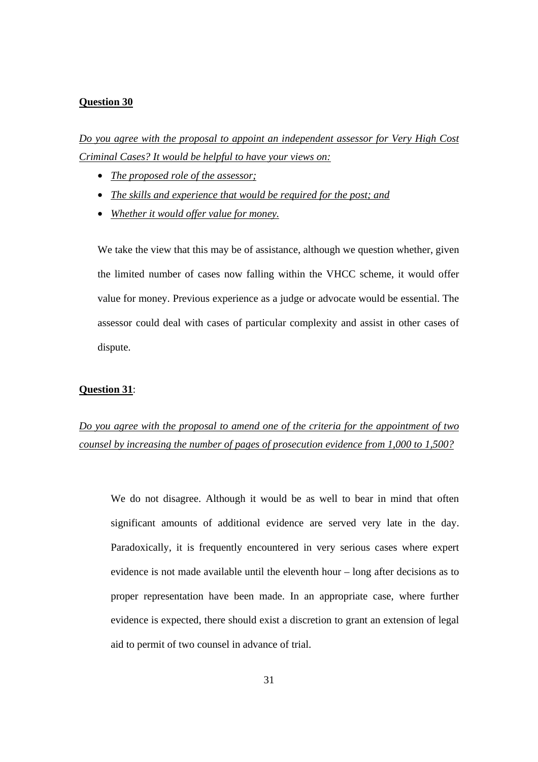#### **Question 30**

*Do you agree with the proposal to appoint an independent assessor for Very High Cost Criminal Cases? It would be helpful to have your views on:*

- *The proposed role of the assessor;*
- *The skills and experience that would be required for the post; and*
- *Whether it would offer value for money.*

We take the view that this may be of assistance, although we question whether, given the limited number of cases now falling within the VHCC scheme, it would offer value for money. Previous experience as a judge or advocate would be essential. The assessor could deal with cases of particular complexity and assist in other cases of dispute.

#### **Question 31**:

# *Do you agree with the proposal to amend one of the criteria for the appointment of two counsel by increasing the number of pages of prosecution evidence from 1,000 to 1,500?*

 We do not disagree. Although it would be as well to bear in mind that often significant amounts of additional evidence are served very late in the day. Paradoxically, it is frequently encountered in very serious cases where expert evidence is not made available until the eleventh hour – long after decisions as to proper representation have been made. In an appropriate case, where further evidence is expected, there should exist a discretion to grant an extension of legal aid to permit of two counsel in advance of trial.